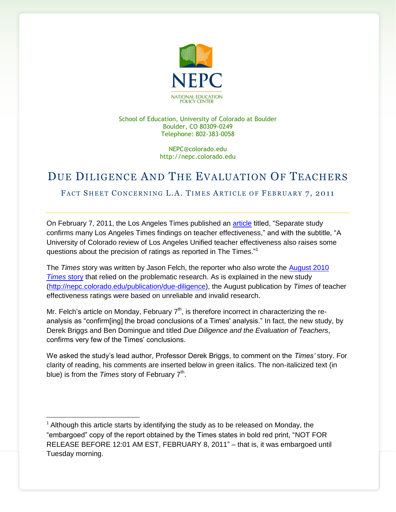

School of Education, University of Colorado at Boulder Boulder, CO 80309-0249 Telephone: 802-383-0058

> NEPC@colorado.edu http://nepc.colorado.edu

## DUE DILIGENCE AND THE EVALUATION OF TEACHERS

FACT SHEET CONCERNING L.A. TIMES ARTICLE OF FEBRUARY 7, 2011

On February 7, 2011, the Los Angeles Times published an [article](http://www.latimes.com/news/local/la-me-teacher-study-20110207,0,2144294.story) titled, "Separate study confirms many Los Angeles Times findings on teacher effectiveness," and with the subtitle, "A University of Colorado review of Los Angeles Unified teacher effectiveness also raises some questions about the precision of ratings as reported in The Times."<sup>1</sup>

The *Times* story was written by Jason Felch, the reporter who also wrote the [August 2010](http://www.latimes.com/news/local/la-me-teachers-value-20100815,0,2695044.story)  *[Times](http://www.latimes.com/news/local/la-me-teachers-value-20100815,0,2695044.story)* story that relied on the problematic research. As is explained in the new study [\(http://nepc.colorado.edu/publication/due-diligence\)](http://nepc.colorado.edu/publication/due-diligence), the August publication by *Times* of teacher effectiveness ratings were based on unreliable and invalid research.

Mr. Felch's article on Monday, February  $7<sup>th</sup>$ , is therefore incorrect in characterizing the reanalysis as "confirm[ing] the broad conclusions of a Times' analysis." In fact, the new study, by Derek Briggs and Ben Domingue and titled *Due Diligence and the Evaluation of Teachers*, confirms very few of the Times' conclusions.

We asked the study's lead author, Professor Derek Briggs, to comment on the *Times'* story. For clarity of reading, his comments are inserted below in green italics. The non-italicized text (in blue) is from the *Times* story of February 7<sup>th</sup>.

l

 $<sup>1</sup>$  Although this article starts by identifying the study as to be released on Monday, the</sup> "embargoed" copy of the report obtained by the Times states in bold red print, "NOT FOR RELEASE BEFORE 12:01 AM EST, FEBRUARY 8, 2011" - that is, it was embargoed until Tuesday morning.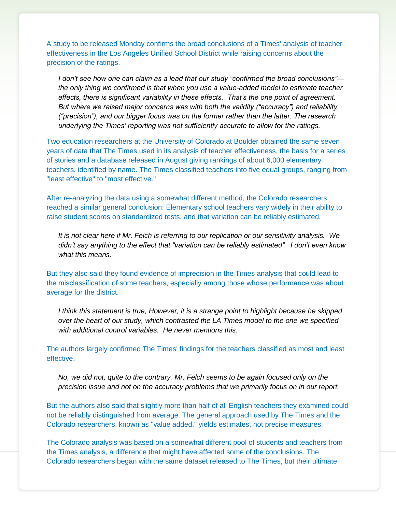A study to be released Monday confirms the broad conclusions of a Times' analysis of teacher effectiveness in the Los Angeles Unified School District while raising concerns about the precision of the ratings.

*I don't see how one can claim as a lead that our study "confirmed the broad conclusions" the only thing we confirmed is that when you use a value-added model to estimate teacher effects, there is significant variability in these effects. That's the one point of agreement. But where we raised major concerns was with both the validity ("accuracy") and reliability (―precision‖), and our bigger focus was on the former rather than the latter. The research underlying the Times' reporting was not sufficiently accurate to allow for the ratings.*

Two education researchers at the University of Colorado at Boulder obtained the same seven years of data that The Times used in its analysis of teacher effectiveness, the basis for a series of stories and a database released in August giving rankings of about 6,000 elementary teachers, identified by name. The Times classified teachers into five equal groups, ranging from "least effective" to "most effective."

After re-analyzing the data using a somewhat different method, the Colorado researchers reached a similar general conclusion: Elementary school teachers vary widely in their ability to raise student scores on standardized tests, and that variation can be reliably estimated.

*It is not clear here if Mr. Felch is referring to our replication or our sensitivity analysis. We*  didn't say anything to the effect that "variation can be reliably estimated". I don't even know *what this means.*

But they also said they found evidence of imprecision in the Times analysis that could lead to the misclassification of some teachers, especially among those whose performance was about average for the district.

*I think this statement is true, However, it is a strange point to highlight because he skipped over the heart of our study, which contrasted the LA Times model to the one we specified with additional control variables. He never mentions this.*

The authors largely confirmed The Times' findings for the teachers classified as most and least effective.

*No, we did not, quite to the contrary. Mr. Felch seems to be again focused only on the precision issue and not on the accuracy problems that we primarily focus on in our report.*

But the authors also said that slightly more than half of all English teachers they examined could not be reliably distinguished from average. The general approach used by The Times and the Colorado researchers, known as "value added," yields estimates, not precise measures.

The Colorado analysis was based on a somewhat different pool of students and teachers from the Times analysis, a difference that might have affected some of the conclusions. The Colorado researchers began with the same dataset released to The Times, but their ultimate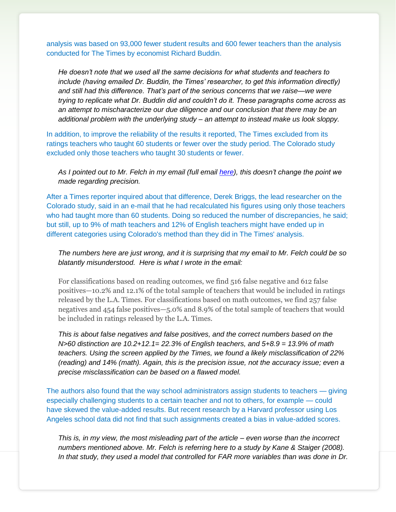analysis was based on 93,000 fewer student results and 600 fewer teachers than the analysis conducted for The Times by economist Richard Buddin.

*He doesn't note that we used all the same decisions for what students and teachers to include (having emailed Dr. Buddin, the Times' researcher, to get this information directly) and still had this difference. That's part of the serious concerns that we raise—we were trying to replicate what Dr. Buddin did and couldn't do it. These paragraphs come across as an attempt to mischaracterize our due diligence and our conclusion that there may be an additional problem with the underlying study – an attempt to instead make us look sloppy.*

In addition, to improve the reliability of the results it reported, The Times excluded from its ratings teachers who taught 60 students or fewer over the study period. The Colorado study excluded only those teachers who taught 30 students or fewer.

*As I pointed out to Mr. Felch in my email (full email [here\)](http://nepc.colorado.edu/files/BriggsFelchemail.pdf), this doesn't change the point we made regarding precision.*

After a Times reporter inquired about that difference, Derek Briggs, the lead researcher on the Colorado study, said in an e-mail that he had recalculated his figures using only those teachers who had taught more than 60 students. Doing so reduced the number of discrepancies, he said; but still, up to 9% of math teachers and 12% of English teachers might have ended up in different categories using Colorado's method than they did in The Times' analysis.

## *The numbers here are just wrong, and it is surprising that my email to Mr. Felch could be so blatantly misunderstood. Here is what I wrote in the email:*

For classifications based on reading outcomes, we find 516 false negative and 612 false positives—10.2% and 12.1% of the total sample of teachers that would be included in ratings released by the L.A. Times. For classifications based on math outcomes, we find 257 false negatives and 454 false positives—5.0% and 8.9% of the total sample of teachers that would be included in ratings released by the L.A. Times.

*This is about false negatives and false positives, and the correct numbers based on the N>60 distinction are 10.2+12.1= 22.3% of English teachers, and 5+8.9 = 13.9% of math teachers. Using the screen applied by the Times, we found a likely misclassification of 22% (reading) and 14% (math). Again, this is the precision issue, not the accuracy issue; even a precise misclassification can be based on a flawed model.*

The authors also found that the way school administrators assign students to teachers — giving especially challenging students to a certain teacher and not to others, for example — could have skewed the value-added results. But recent research by a Harvard professor using Los Angeles school data did not find that such assignments created a bias in value-added scores.

*This is, in my view, the most misleading part of the article – even worse than the incorrect numbers mentioned above. Mr. Felch is referring here to a study by Kane & Staiger (2008). In that study, they used a model that controlled for FAR more variables than was done in Dr.*